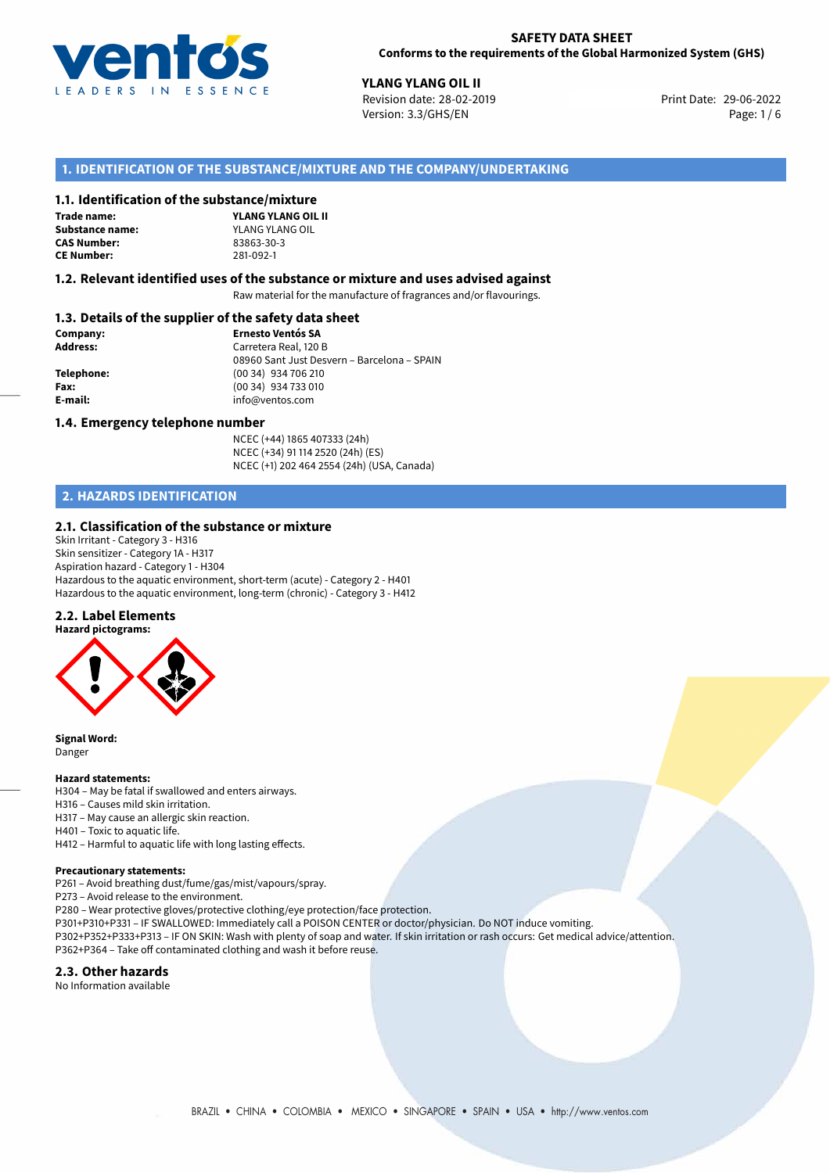

29-06-2022 **YLANG YLANG OIL II** Revision date: 28-02-2019 Print Date: Version: 3.3/GHS/EN Page: 1 / 6

# **1. IDENTIFICATION OF THE SUBSTANCE/MIXTURE AND THE COMPANY/UNDERTAKING**

#### **1.1. Identification of the substance/mixture**

**Trade name: CAS Number: CE Number:** 281-092-1

**YLANG YLANG OIL II Substance name:** YLANG YLANG OIL<br> **CAS Number:** 83863-30-3

#### **1.2. Relevant identified uses of the substance or mixture and uses advised against**

Raw material for the manufacture of fragrances and/or flavourings.

# **1.3. Details of the supplier of the safety data sheet**

| Company:        | <b>Ernesto Ventós SA</b>                    |
|-----------------|---------------------------------------------|
| <b>Address:</b> | Carretera Real, 120 B                       |
|                 | 08960 Sant Just Desvern - Barcelona - SPAIN |
| Telephone:      | (00 34) 934 706 210                         |
| Fax:            | (00 34) 934 733 010                         |
| E-mail:         | info@ventos.com                             |
|                 |                                             |

#### **1.4. Emergency telephone number**

NCEC (+44) 1865 407333 (24h) NCEC (+34) 91 114 2520 (24h) (ES) NCEC (+1) 202 464 2554 (24h) (USA, Canada)

# **2. HAZARDS IDENTIFICATION**

#### **2.1. Classification of the substance or mixture**

Skin Irritant - Category 3 - H316 Skin sensitizer - Category 1A - H317 Aspiration hazard - Category 1 - H304 Hazardous to the aquatic environment, short-term (acute) - Category 2 - H401 Hazardous to the aquatic environment, long-term (chronic) - Category 3 - H412

#### **2.2. Label Elements**



**Signal Word:** Danger

#### **Hazard statements:**

- H304 May be fatal if swallowed and enters airways.
- H316 Causes mild skin irritation.
- H317 May cause an allergic skin reaction.
- H401 Toxic to aquatic life.
- H412 Harmful to aquatic life with long lasting effects.

## **Precautionary statements:**

P261 – Avoid breathing dust/fume/gas/mist/vapours/spray.

P273 – Avoid release to the environment.

- P280 Wear protective gloves/protective clothing/eye protection/face protection.
- P301+P310+P331 IF SWALLOWED: Immediately call a POISON CENTER or doctor/physician. Do NOT induce vomiting.
- P302+P352+P333+P313 IF ON SKIN: Wash with plenty of soap and water. If skin irritation or rash occurs: Get medical advice/attention. P362+P364 – Take off contaminated clothing and wash it before reuse.

#### **2.3. Other hazards**

No Information available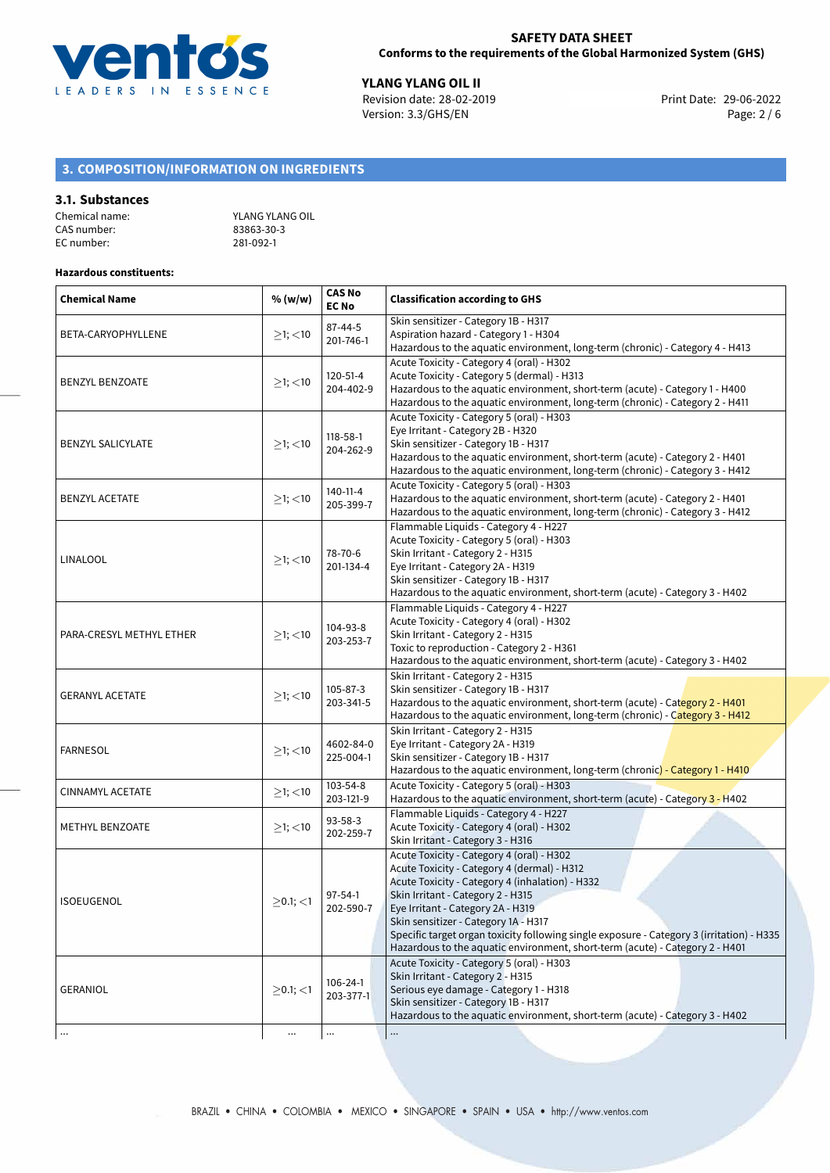

**YLANG YLANG OIL II**<br>
Revision date: 28-02-2019 **Print Date: 29-06-2022** Version: 3.3/GHS/EN Page: 2 / 6

# **3. COMPOSITION/INFORMATION ON INGREDIENTS**

#### **3.1. Substances**

| Chemical name: | YLANG YLANG OIL |
|----------------|-----------------|
| CAS number: l  | 83863-30-3      |
| EC number:     | 281-092-1       |

# **Hazardous constituents:**

| <b>Chemical Name</b>     | % (w/w)          | <b>CAS No</b><br><b>EC No</b> | <b>Classification according to GHS</b>                                                                                                                                                                                                                                                                                                                                                                                                     |  |
|--------------------------|------------------|-------------------------------|--------------------------------------------------------------------------------------------------------------------------------------------------------------------------------------------------------------------------------------------------------------------------------------------------------------------------------------------------------------------------------------------------------------------------------------------|--|
| BETA-CARYOPHYLLENE       | $\geq$ 1; $<$ 10 | $87 - 44 - 5$<br>201-746-1    | Skin sensitizer - Category 1B - H317<br>Aspiration hazard - Category 1 - H304<br>Hazardous to the aquatic environment, long-term (chronic) - Category 4 - H413                                                                                                                                                                                                                                                                             |  |
| <b>BENZYL BENZOATE</b>   | $\geq$ 1; $<$ 10 | 120-51-4<br>204-402-9         | Acute Toxicity - Category 4 (oral) - H302<br>Acute Toxicity - Category 5 (dermal) - H313<br>Hazardous to the aquatic environment, short-term (acute) - Category 1 - H400<br>Hazardous to the aquatic environment, long-term (chronic) - Category 2 - H411                                                                                                                                                                                  |  |
| <b>BENZYL SALICYLATE</b> | $\geq$ 1; <10    | 118-58-1<br>204-262-9         | Acute Toxicity - Category 5 (oral) - H303<br>Eye Irritant - Category 2B - H320<br>Skin sensitizer - Category 1B - H317<br>Hazardous to the aquatic environment, short-term (acute) - Category 2 - H401<br>Hazardous to the aquatic environment, long-term (chronic) - Category 3 - H412                                                                                                                                                    |  |
| <b>BENZYL ACETATE</b>    | $\geq$ 1; <10    | 140-11-4<br>205-399-7         | Acute Toxicity - Category 5 (oral) - H303<br>Hazardous to the aquatic environment, short-term (acute) - Category 2 - H401<br>Hazardous to the aquatic environment, long-term (chronic) - Category 3 - H412                                                                                                                                                                                                                                 |  |
| LINALOOL                 | $\geq$ 1; <10    | 78-70-6<br>201-134-4          | Flammable Liquids - Category 4 - H227<br>Acute Toxicity - Category 5 (oral) - H303<br>Skin Irritant - Category 2 - H315<br>Eye Irritant - Category 2A - H319<br>Skin sensitizer - Category 1B - H317<br>Hazardous to the aquatic environment, short-term (acute) - Category 3 - H402                                                                                                                                                       |  |
| PARA-CRESYL METHYL ETHER | $≥1;$ < 10       | 104-93-8<br>203-253-7         | Flammable Liquids - Category 4 - H227<br>Acute Toxicity - Category 4 (oral) - H302<br>Skin Irritant - Category 2 - H315<br>Toxic to reproduction - Category 2 - H361<br>Hazardous to the aquatic environment, short-term (acute) - Category 3 - H402                                                                                                                                                                                       |  |
| <b>GERANYL ACETATE</b>   | $≥1;$ < 10       | $105 - 87 - 3$<br>203-341-5   | Skin Irritant - Category 2 - H315<br>Skin sensitizer - Category 1B - H317<br>Hazardous to the aquatic environment, short-term (acute) - Category 2 - H401<br>Hazardous to the aquatic environment, long-term (chronic) - Category 3 - H412                                                                                                                                                                                                 |  |
| <b>FARNESOL</b>          | $\geq$ 1; $<$ 10 | 4602-84-0<br>225-004-1        | Skin Irritant - Category 2 - H315<br>Eye Irritant - Category 2A - H319<br>Skin sensitizer - Category 1B - H317<br>Hazardous to the aquatic environment, long-term (chronic) - Category 1 - H410                                                                                                                                                                                                                                            |  |
| CINNAMYL ACETATE         | $\geq$ 1; $<$ 10 | 103-54-8<br>203-121-9         | Acute Toxicity - Category 5 (oral) - H303<br>Hazardous to the aquatic environment, short-term (acute) - Category 3 - H402                                                                                                                                                                                                                                                                                                                  |  |
| <b>METHYL BENZOATE</b>   | $\geq$ 1; $<$ 10 | $93 - 58 - 3$<br>202-259-7    | Flammable Liquids - Category 4 - H227<br>Acute Toxicity - Category 4 (oral) - H302<br>Skin Irritant - Category 3 - H316                                                                                                                                                                                                                                                                                                                    |  |
| ISOEUGENOL               | $>$ 0.1; $<$ 1   | $97 - 54 - 1$<br>202-590-7    | Acute Toxicity - Category 4 (oral) - H302<br>Acute Toxicity - Category 4 (dermal) - H312<br>Acute Toxicity - Category 4 (inhalation) - H332<br>Skin Irritant - Category 2 - H315<br>Eye Irritant - Category 2A - H319<br>Skin sensitizer - Category 1A - H317<br>Specific target organ toxicity following single exposure - Category 3 (irritation) - H335<br>Hazardous to the aquatic environment, short-term (acute) - Category 2 - H401 |  |
| GERANIOL                 | $\geq$ 0.1; <1   | 106-24-1<br>203-377-1         | Acute Toxicity - Category 5 (oral) - H303<br>Skin Irritant - Category 2 - H315<br>Serious eye damage - Category 1 - H318<br>Skin sensitizer - Category 1B - H317<br>Hazardous to the aquatic environment, short-term (acute) - Category 3 - H402                                                                                                                                                                                           |  |
|                          | $\cdots$         | $\ldots$                      |                                                                                                                                                                                                                                                                                                                                                                                                                                            |  |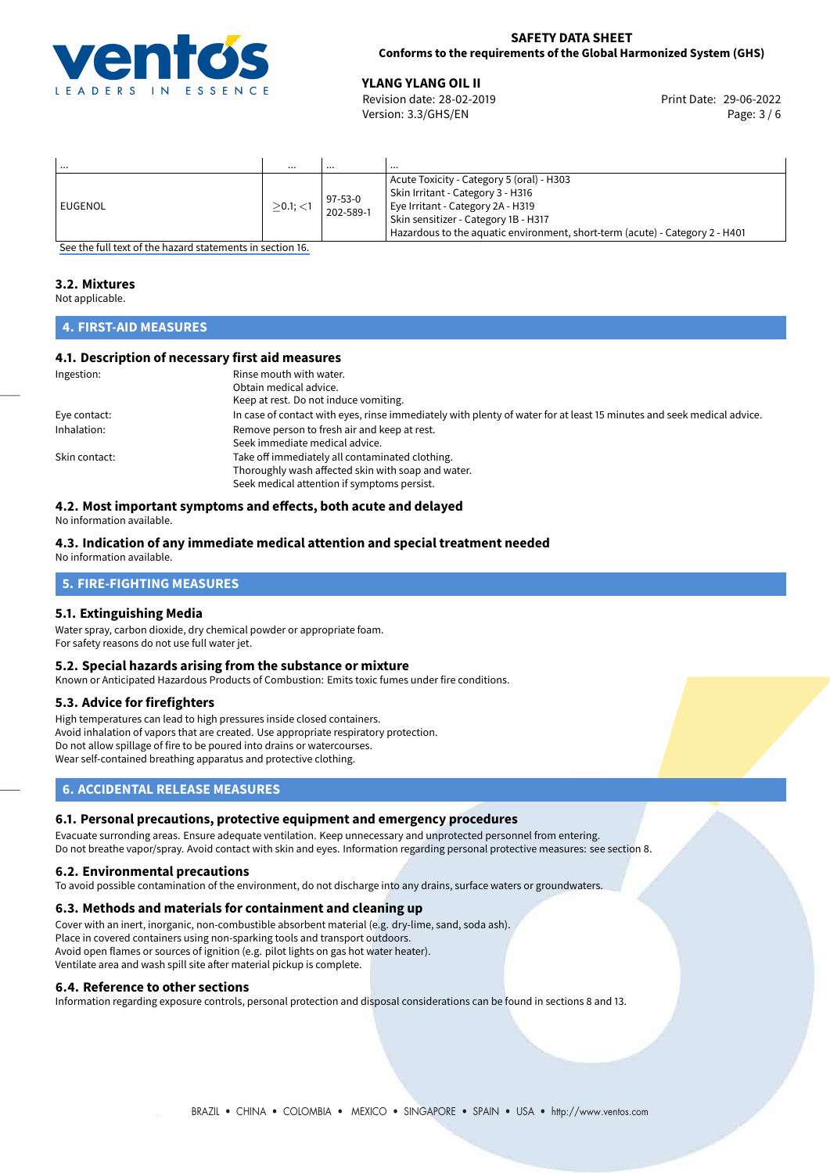

## **SAFETY DATA SHEET Conforms to the requirements of the Global Harmonized System (GHS)**

**YLANG YLANG OIL II**<br>
Revision date: 28-02-2019 **Print Date: 29-06-2022** Version: 3.3/GHS/EN Page: 3 / 6

| .         | $\cdots$       | $\cdots$             | $\cdots$                                                                                                                                                                                                                                    |
|-----------|----------------|----------------------|---------------------------------------------------------------------------------------------------------------------------------------------------------------------------------------------------------------------------------------------|
| l EUGENOL | $>$ 0.1; $<$ 1 | 97-53-0<br>202-589-1 | Acute Toxicity - Category 5 (oral) - H303<br>Skin Irritant - Category 3 - H316<br>Eye Irritant - Category 2A - H319<br>Skin sensitizer - Category 1B - H317<br>Hazardous to the aquatic environment, short-term (acute) - Category 2 - H401 |

[See the full text of the hazard statements in section 16.](#page-5-0)

# **3.2. Mixtures**

Not applicable.

# **4. FIRST-AID MEASURES**

# **4.1. Description of necessary first aid measures**

| Ingestion:    | Rinse mouth with water.<br>Obtain medical advice.<br>Keep at rest. Do not induce vomiting.                                                           |
|---------------|------------------------------------------------------------------------------------------------------------------------------------------------------|
| Eye contact:  | In case of contact with eyes, rinse immediately with plenty of water for at least 15 minutes and seek medical advice.                                |
| Inhalation:   | Remove person to fresh air and keep at rest.<br>Seek immediate medical advice.                                                                       |
| Skin contact: | Take off immediately all contaminated clothing.<br>Thoroughly wash affected skin with soap and water.<br>Seek medical attention if symptoms persist. |

# **4.2. Most important symptoms and effects, both acute and delayed**

No information available.

#### **4.3. Indication of any immediate medical attention and special treatment needed** No information available.

# **5. FIRE-FIGHTING MEASURES**

## **5.1. Extinguishing Media**

Water spray, carbon dioxide, dry chemical powder or appropriate foam. For safety reasons do not use full water jet.

## **5.2. Special hazards arising from the substance or mixture**

Known or Anticipated Hazardous Products of Combustion: Emits toxic fumes under fire conditions.

## **5.3. Advice for firefighters**

High temperatures can lead to high pressures inside closed containers. Avoid inhalation of vapors that are created. Use appropriate respiratory protection. Do not allow spillage of fire to be poured into drains or watercourses. Wear self-contained breathing apparatus and protective clothing.

# **6. ACCIDENTAL RELEASE MEASURES**

## **6.1. Personal precautions, protective equipment and emergency procedures**

Evacuate surronding areas. Ensure adequate ventilation. Keep unnecessary and unprotected personnel from entering. Do not breathe vapor/spray. Avoid contact with skin and eyes. Information regarding personal protective measures: see section 8.

## **6.2. Environmental precautions**

To avoid possible contamination of the environment, do not discharge into any drains, surface waters or groundwaters.

## **6.3. Methods and materials for containment and cleaning up**

Cover with an inert, inorganic, non-combustible absorbent material (e.g. dry-lime, sand, soda ash). Place in covered containers using non-sparking tools and transport outdoors. Avoid open flames or sources of ignition (e.g. pilot lights on gas hot water heater). Ventilate area and wash spill site after material pickup is complete.

## **6.4. Reference to other sections**

Information regarding exposure controls, personal protection and disposal considerations can be found in sections 8 and 13.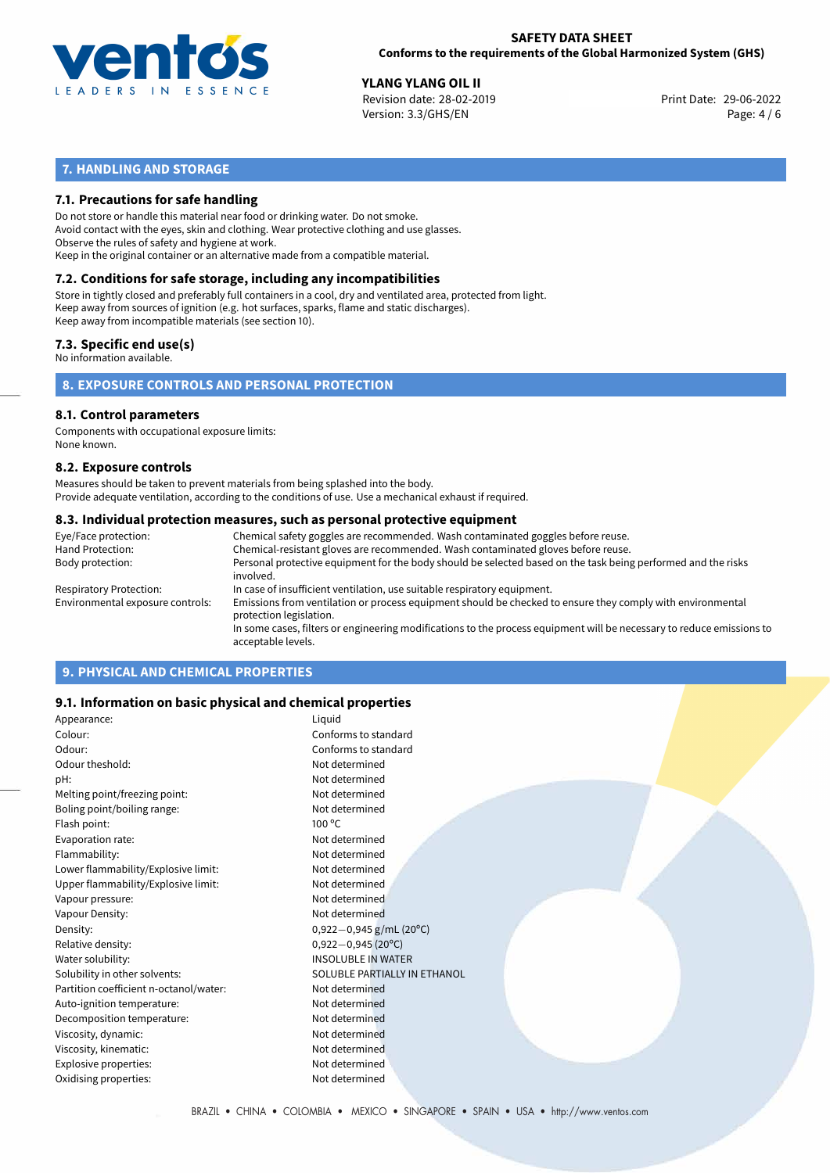

#### **SAFETY DATA SHEET Conforms to the requirements of the Global Harmonized System (GHS)**

**YLANG YLANG OIL II**<br>
Revision date: 28-02-2019 **Print Date: 29-06-2022** Version: 3.3/GHS/EN Page: 4 / 6

# **7. HANDLING AND STORAGE**

## **7.1. Precautions for safe handling**

Do not store or handle this material near food or drinking water. Do not smoke. Avoid contact with the eyes, skin and clothing. Wear protective clothing and use glasses. Observe the rules of safety and hygiene at work. Keep in the original container or an alternative made from a compatible material.

# **7.2. Conditions for safe storage, including any incompatibilities**

Store in tightly closed and preferably full containers in a cool, dry and ventilated area, protected from light. Keep away from sources of ignition (e.g. hot surfaces, sparks, flame and static discharges). Keep away from incompatible materials (see section 10).

## **7.3. Specific end use(s)**

No information available.

## **8. EXPOSURE CONTROLS AND PERSONAL PROTECTION**

# **8.1. Control parameters**

Components with occupational exposure limits: None known.

#### **8.2. Exposure controls**

Measures should be taken to prevent materials from being splashed into the body. Provide adequate ventilation, according to the conditions of use. Use a mechanical exhaust if required.

#### **8.3. Individual protection measures, such as personal protective equipment**

| Eye/Face protection:             | Chemical safety goggles are recommended. Wash contaminated goggles before reuse.                                                            |
|----------------------------------|---------------------------------------------------------------------------------------------------------------------------------------------|
| Hand Protection:                 | Chemical-resistant gloves are recommended. Wash contaminated gloves before reuse.                                                           |
| Body protection:                 | Personal protective equipment for the body should be selected based on the task being performed and the risks<br>involved.                  |
| Respiratory Protection:          | In case of insufficient ventilation, use suitable respiratory equipment.                                                                    |
| Environmental exposure controls: | Emissions from ventilation or process equipment should be checked to ensure they comply with environmental<br>protection legislation.       |
|                                  | In some cases, filters or engineering modifications to the process equipment will be necessary to reduce emissions to<br>acceptable levels. |
|                                  |                                                                                                                                             |

# **9. PHYSICAL AND CHEMICAL PROPERTIES**

## **9.1. Information on basic physical and chemical properties**

| Appearance:                            | Liguid                       |
|----------------------------------------|------------------------------|
| Colour:                                | Conforms to standard         |
| Odour:                                 | Conforms to standard         |
| Odour theshold:                        | Not determined               |
| pH:                                    | Not determined               |
| Melting point/freezing point:          | Not determined               |
| Boling point/boiling range:            | Not determined               |
| Flash point:                           | $100^{\circ}$ C              |
| Evaporation rate:                      | Not determined               |
| Flammability:                          | Not determined               |
| Lower flammability/Explosive limit:    | Not determined               |
| Upper flammability/Explosive limit:    | Not determined               |
| Vapour pressure:                       | Not determined               |
| Vapour Density:                        | Not determined               |
| Density:                               | $0,922-0,945$ g/mL (20°C)    |
| Relative density:                      | $0,922-0,945(20^{\circ}C)$   |
| Water solubility:                      | <b>INSOLUBLE IN WATER</b>    |
| Solubility in other solvents:          | SOLUBLE PARTIALLY IN ETHANOL |
| Partition coefficient n-octanol/water: | Not determined               |
| Auto-ignition temperature:             | Not determined               |
| Decomposition temperature:             | Not determined               |
| Viscosity, dynamic:                    | Not determined               |
| Viscosity, kinematic:                  | Not determined               |
| Explosive properties:                  | Not determined               |
| Oxidising properties:                  | Not determined               |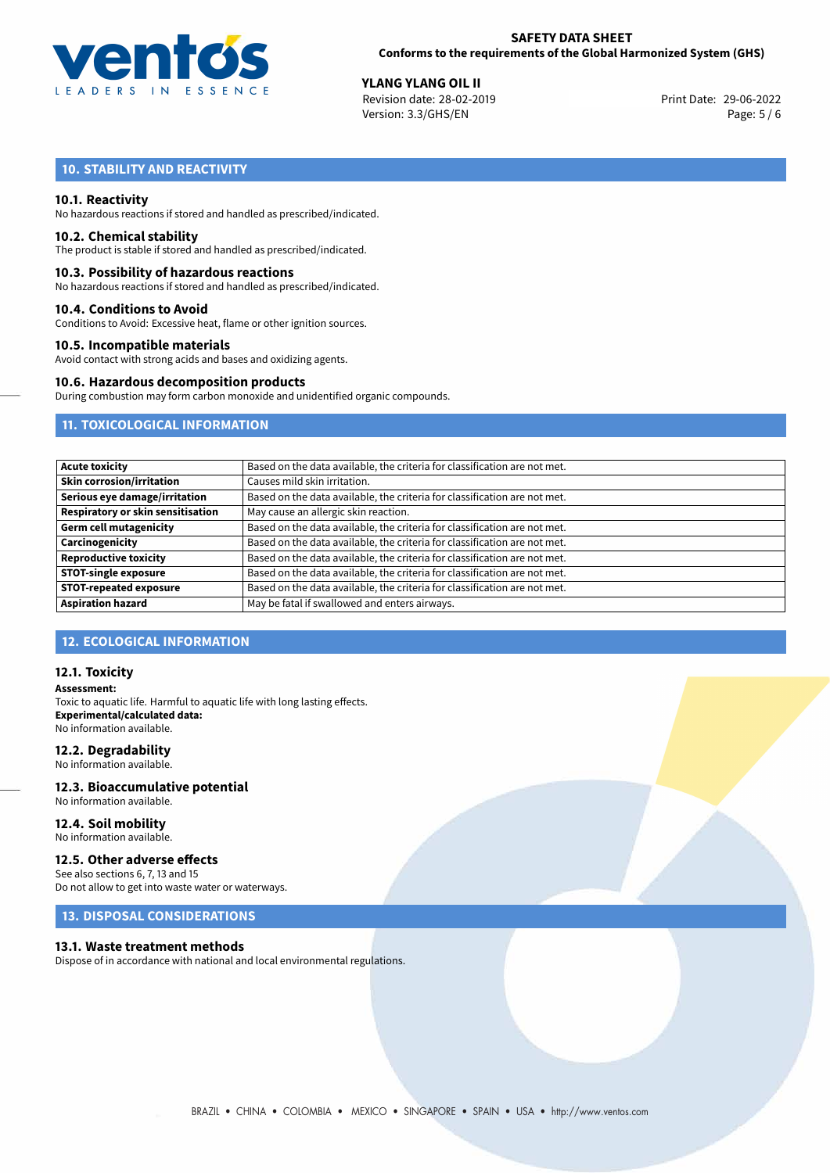

**YLANG YLANG OIL II**<br>
Revision date: 28-02-2019 **Print Date: 29-06-2022** Version: 3.3/GHS/EN Page: 5 / 6

# **10. STABILITY AND REACTIVITY**

#### **10.1. Reactivity**

No hazardous reactions if stored and handled as prescribed/indicated.

#### **10.2. Chemical stability**

The product is stable if stored and handled as prescribed/indicated.

#### **10.3. Possibility of hazardous reactions**

No hazardous reactions if stored and handled as prescribed/indicated.

#### **10.4. Conditions to Avoid**

Conditions to Avoid: Excessive heat, flame or other ignition sources.

#### **10.5. Incompatible materials**

Avoid contact with strong acids and bases and oxidizing agents.

#### **10.6. Hazardous decomposition products**

During combustion may form carbon monoxide and unidentified organic compounds.

# **11. TOXICOLOGICAL INFORMATION**

| <b>Acute toxicity</b>                    | Based on the data available, the criteria for classification are not met. |
|------------------------------------------|---------------------------------------------------------------------------|
| <b>Skin corrosion/irritation</b>         | Causes mild skin irritation.                                              |
| Serious eye damage/irritation            | Based on the data available, the criteria for classification are not met. |
| <b>Respiratory or skin sensitisation</b> | May cause an allergic skin reaction.                                      |
| <b>Germ cell mutagenicity</b>            | Based on the data available, the criteria for classification are not met. |
| Carcinogenicity                          | Based on the data available, the criteria for classification are not met. |
| <b>Reproductive toxicity</b>             | Based on the data available, the criteria for classification are not met. |
| <b>STOT-single exposure</b>              | Based on the data available, the criteria for classification are not met. |
| <b>STOT-repeated exposure</b>            | Based on the data available, the criteria for classification are not met. |
| <b>Aspiration hazard</b>                 | May be fatal if swallowed and enters airways.                             |

## **12. ECOLOGICAL INFORMATION**

#### **12.1. Toxicity**

**Assessment:** Toxic to aquatic life. Harmful to aquatic life with long lasting effects. **Experimental/calculated data:** No information available.

#### **12.2. Degradability**

No information available.

#### **12.3. Bioaccumulative potential** No information available.

**12.4. Soil mobility**

No information available.

# **12.5. Other adverse effects**

See also sections 6, 7, 13 and 15 Do not allow to get into waste water or waterways.

# **13. DISPOSAL CONSIDERATIONS**

#### **13.1. Waste treatment methods**

Dispose of in accordance with national and local environmental regulations.